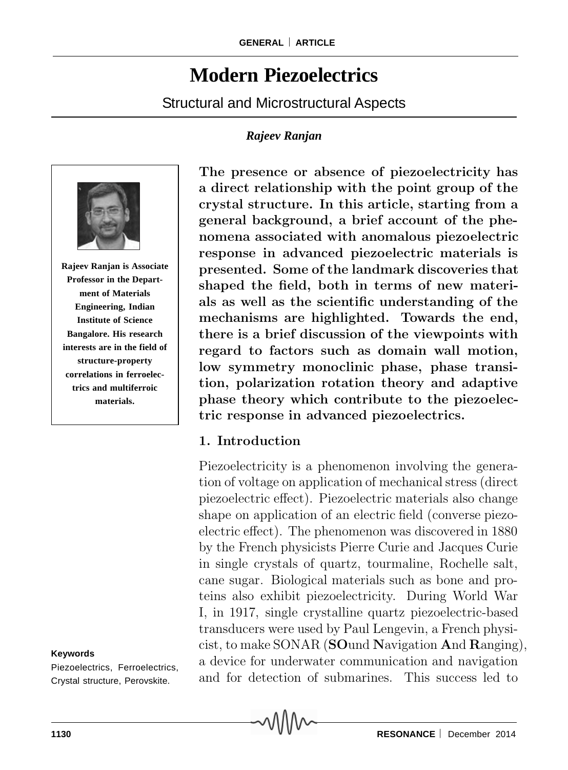# **Modern Piezoelectrics**

Structural and Microstructural Aspects

### *Rajeev Ranjan*



**Rajeev Ranjan is Associate Professor in the Department of Materials Engineering, Indian Institute of Science Bangalore. His research interests are in the field of structure-property correlations in ferroelectrics and multiferroic materials.**

#### **Keywords**

Piezoelectrics, Ferroelectrics, Crystal structure, Perovskite.

**The presence or absence of piezoelectricity has a direct relationship with the point group of the crystal structure. In this article, starting from a general background, a brief account of the phenomena associated with anomalous piezoelectric response in advanced piezoelectric materials is presented. Some of the landmark discoveries that shaped the field, both in terms of new materials as well as the scientific understanding of the mechanisms are highlighted. Towards the end, there is a brief discussion of the viewpoints with regard to factors such as domain wall motion, low symmetry monoclinic phase, phase transition, polarization rotation theory and adaptive phase theory which contribute to the piezoelectric response in advanced piezoelectrics.**

# **1. Introduction**

Piezoelectricity is a phenomenon involving the generation of voltage on application of mechanical stress (direct piezoelectric effect). Piezoelectric materials also change shape on application of an electric field (converse piezoelectric effect). The phenomenon was discovered in 1880 by the French physicists Pierre Curie and Jacques Curie in single crystals of quartz, tourmaline, Rochelle salt, cane sugar. Biological materials such as bone and proteins also exhibit piezoelectricity. During World War I, in 1917, single crystalline quartz piezoelectric-based transducers were used by Paul Lengevin, a French physicist, to make SONAR (**SO**und **N**avigation **A**nd **R**anging), a device for underwater communication and navigation and for detection of submarines. This success led to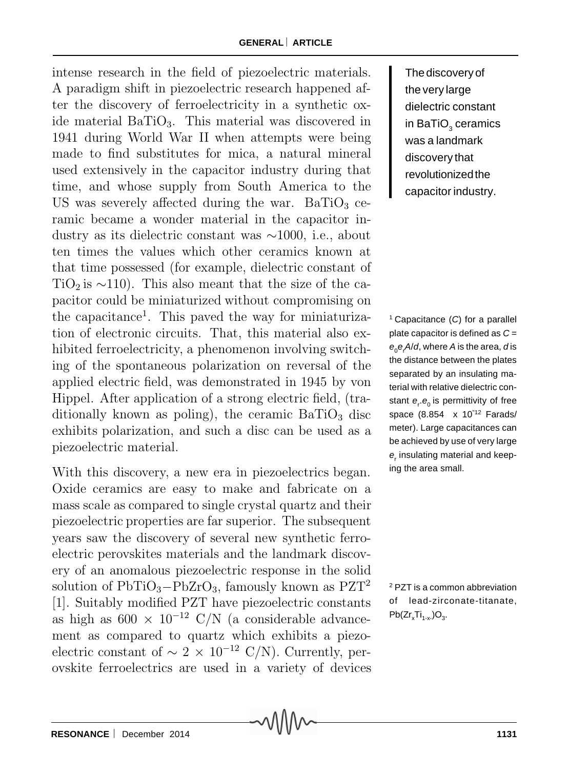intense research in the field of piezoelectric materials. A paradigm shift in piezoelectric research happened after the discovery of ferroelectricity in a synthetic oxide material BaTiO3. This material was discovered in 1941 during World War II when attempts were being made to find substitutes for mica, a natural mineral used extensively in the capacitor industry during that time, and whose supply from South America to the US was severely affected during the war. BaTiO<sub>3</sub> ceramic became a wonder material in the capacitor industry as its dielectric constant was ∼1000, i.e., about ten times the values which other ceramics known at that time possessed (for example, dielectric constant of TiO<sub>2</sub> is  $\sim$ 110). This also meant that the size of the capacitor could be miniaturized without compromising on the capacitance<sup>1</sup>. This paved the way for miniaturization of electronic circuits. That, this material also exhibited ferroelectricity, a phenomenon involving switching of the spontaneous polarization on reversal of the applied electric field, was demonstrated in 1945 by von Hippel. After application of a strong electric field, (traditionally known as poling), the ceramic  $BaTiO<sub>3</sub>$  disc exhibits polarization, and such a disc can be used as a piezoelectric material.

With this discovery, a new era in piezoelectrics began. Oxide ceramics are easy to make and fabricate on a mass scale as compared to single crystal quartz and their piezoelectric properties are far superior. The subsequent years saw the discovery of several new synthetic ferroelectric perovskites materials and the landmark discovery of an anomalous piezoelectric response in the solid solution of  $PbTiO_3-PbZrO_3$ , famously known as  $PZT^2$ [1]. Suitably modified PZT have piezoelectric constants as high as  $600 \times 10^{-12}$  C/N (a considerable advancement as compared to quartz which exhibits a piezoelectric constant of  $\sim 2 \times 10^{-12}$  C/N). Currently, perovskite ferroelectrics are used in a variety of devices The discovery of the very large dielectric constant in BaTiO $_{\tiny 3}$  ceramics was a landmark discovery that revolutionized the capacitor industry.

1 Capacitance (*C*) for a parallel plate capacitor is defined as *C* = *e*0*e*<sup>r</sup> *A*/*d*, where *A* is the area, *d* is the distance between the plates separated by an insulating material with relative dielectric constant  $e_{\text{r}}.e_{\text{0}}$  is permittivity of free space (8.854 x 10"12 Farads/ meter). Large capacitances can be achieved by use of very large  $e_r$  insulating material and keeping the area small.

2 PZT is a common abbreviation of lead-zirconate-titanate,  $Pb(Zr_xTi_{1-x})O_3.$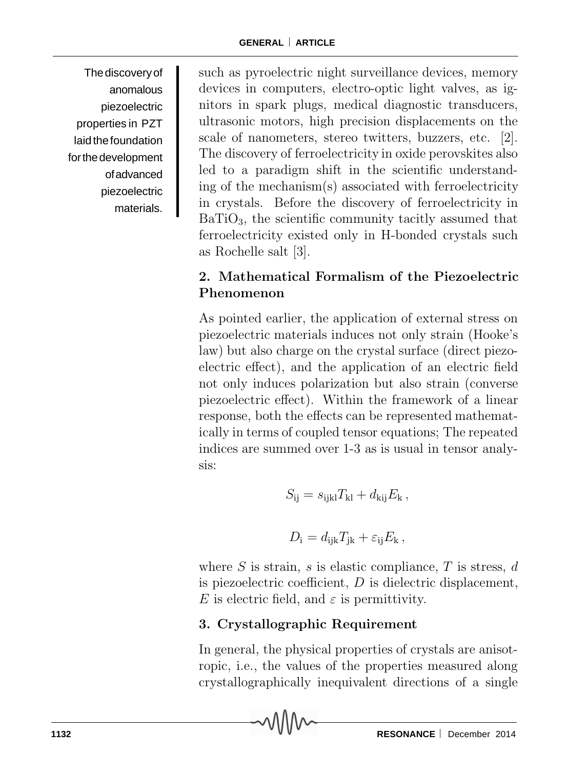The discovery of anomalous piezoelectric properties in PZT laid the foundation for the development of advanced piezoelectric materials.

such as pyroelectric night surveillance devices, memory devices in computers, electro-optic light valves, as ignitors in spark plugs, medical diagnostic transducers, ultrasonic motors, high precision displacements on the scale of nanometers, stereo twitters, buzzers, etc. [2]. The discovery of ferroelectricity in oxide perovskites also led to a paradigm shift in the scientific understanding of the mechanism(s) associated with ferroelectricity in crystals. Before the discovery of ferroelectricity in  $BaTiO<sub>3</sub>$ , the scientific community tacitly assumed that ferroelectricity existed only in H-bonded crystals such as Rochelle salt [3].

# **2. Mathematical Formalism of the Piezoelectric Phenomenon**

As pointed earlier, the application of external stress on piezoelectric materials induces not only strain (Hooke's law) but also charge on the crystal surface (direct piezoelectric effect), and the application of an electric field not only induces polarization but also strain (converse piezoelectric effect). Within the framework of a linear response, both the effects can be represented mathematically in terms of coupled tensor equations; The repeated indices are summed over 1-3 as is usual in tensor analysis:

$$
S_{\rm ij} = s_{\rm ijkl} T_{\rm kl} + d_{\rm kij} E_{\rm k},
$$

$$
D_{\rm i} = d_{\rm ijk} T_{\rm jk} + \varepsilon_{\rm ij} E_{\rm k},
$$

where  $S$  is strain,  $s$  is elastic compliance,  $T$  is stress,  $d$ is piezoelectric coefficient,  $D$  is dielectric displacement, E is electric field, and  $\varepsilon$  is permittivity.

# **3. Crystallographic Requirement**

In general, the physical properties of crystals are anisotropic, i.e., the values of the properties measured along crystallographically inequivalent directions of a single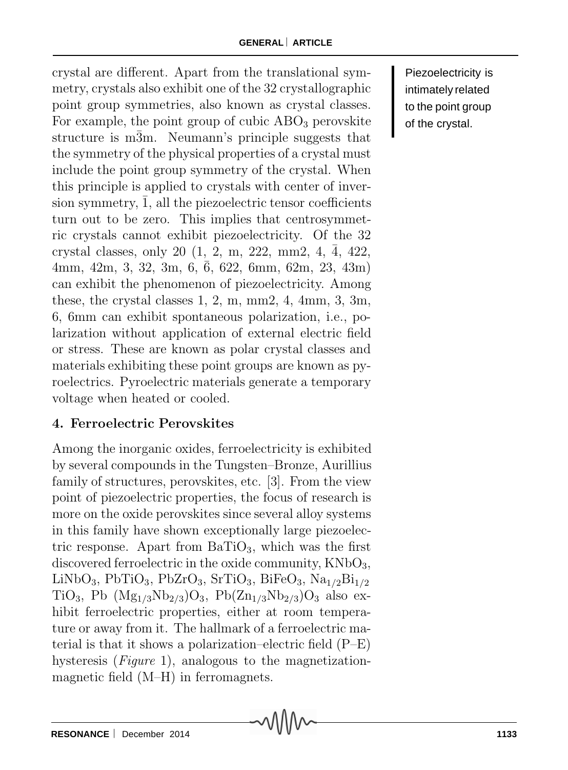crystal are different. Apart from the translational symmetry, crystals also exhibit one of the 32 crystallographic point group symmetries, also known as crystal classes. For example, the point group of cubic  $\rm{ABO}_3$  perovskite structure is m3m. Neumann's principle suggests that the symmetry of the physical properties of a crystal must include the point group symmetry of the crystal. When this principle is applied to crystals with center of inversion symmetry, 1, all the piezoelectric tensor coefficients turn out to be zero. This implies that centrosymmetric crystals cannot exhibit piezoelectricity. Of the 32 crystal classes, only 20  $(1, 2, m, 222, mm2, 4, \overline{4}, 422, ...)$  $4mm, 42m, 3, 32, 3m, 6, 6, 622, 6mm, 62m, 23, 43m$ can exhibit the phenomenon of piezoelectricity. Among these, the crystal classes 1, 2, m, mm2, 4, 4mm, 3, 3m, 6, 6mm can exhibit spontaneous polarization, i.e., polarization without application of external electric field or stress. These are known as polar crystal classes and materials exhibiting these point groups are known as pyroelectrics. Pyroelectric materials generate a temporary voltage when heated or cooled.

# **4. Ferroelectric Perovskites**

Among the inorganic oxides, ferroelectricity is exhibited by several compounds in the Tungsten–Bronze, Aurillius family of structures, perovskites, etc. [3]. From the view point of piezoelectric properties, the focus of research is more on the oxide perovskites since several alloy systems in this family have shown exceptionally large piezoelectric response. Apart from  $BaTiO<sub>3</sub>$ , which was the first discovered ferroelectric in the oxide community,  $KNbO<sub>3</sub>$ ,  $LiNbO<sub>3</sub>, PbTiO<sub>3</sub>, PbZrO<sub>3</sub>, SrTiO<sub>3</sub>, BiFeO<sub>3</sub>, Na<sub>1/2</sub>Bi<sub>1/2</sub>$ TiO<sub>3</sub>, Pb ( $Mg_{1/3}Nb_{2/3}O_3$ , Pb( $Zn_{1/3}Nb_{2/3}O_3$  also exhibit ferroelectric properties, either at room temperature or away from it. The hallmark of a ferroelectric material is that it shows a polarization–electric field (P–E) hysteresis (*Figure* 1), analogous to the magnetizationmagnetic field (M–H) in ferromagnets.

Piezoelectricity is intimately related to the point group of the crystal.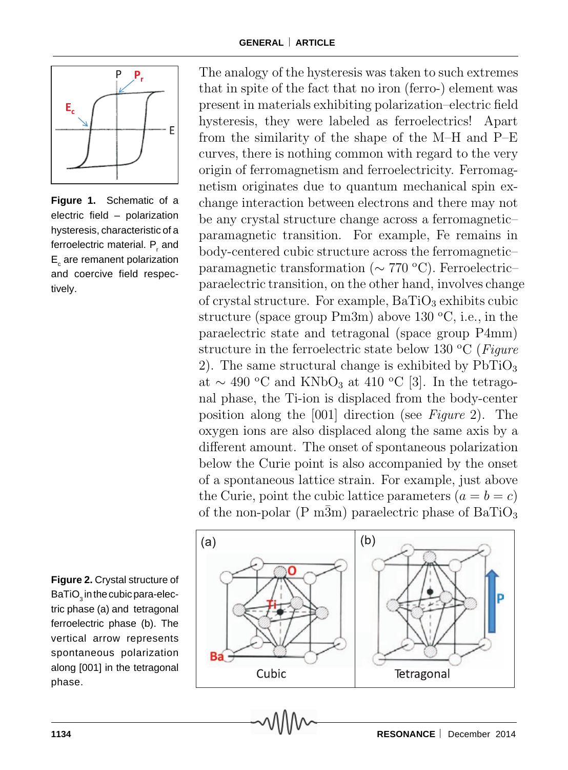

**Figure 1.** Schematic of a electric field – polarization hysteresis, characteristic of a ferroelectric material. P<sub>,</sub> and  $\mathsf{E}_{_\mathrm{c}}$  are remanent polarization and coercive field respectively.

**Figure 2.** Crystal structure of BaTiO $_{_3}$ in the cubic para-electric phase (a) and tetragonal ferroelectric phase (b). The vertical arrow represents spontaneous polarization along [001] in the tetragonal phase.

The analogy of the hysteresis was taken to such extremes that in spite of the fact that no iron (ferro-) element was present in materials exhibiting polarization–electric field hysteresis, they were labeled as ferroelectrics! Apart from the similarity of the shape of the M–H and P–E curves, there is nothing common with regard to the very origin of ferromagnetism and ferroelectricity. Ferromagnetism originates due to quantum mechanical spin exchange interaction between electrons and there may not be any crystal structure change across a ferromagnetic– paramagnetic transition. For example, Fe remains in body-centered cubic structure across the ferromagnetic– paramagnetic transformation (∼ 770 °C). Ferroelectric– paraelectric transition, on the other hand, involves change of crystal structure. For example,  $BaTiO<sub>3</sub>$  exhibits cubic structure (space group  $Pm3m$ ) above 130 °C, i.e., in the paraelectric state and tetragonal (space group P4mm) structure in the ferroelectric state below 130 °C (*Figure*) 2). The same structural change is exhibited by  $PbTiO<sub>3</sub>$ at  $\sim$  490 °C and KNbO<sub>3</sub> at 410 °C [3]. In the tetragonal phase, the Ti-ion is displaced from the body-center position along the [001] direction (see *Figure* 2). The oxygen ions are also displaced along the same axis by a different amount. The onset of spontaneous polarization below the Curie point is also accompanied by the onset of a spontaneous lattice strain. For example, just above the Curie, point the cubic lattice parameters  $(a = b = c)$ of the non-polar (P  $m\overline{3}m$ ) paraelectric phase of BaTiO<sub>3</sub>

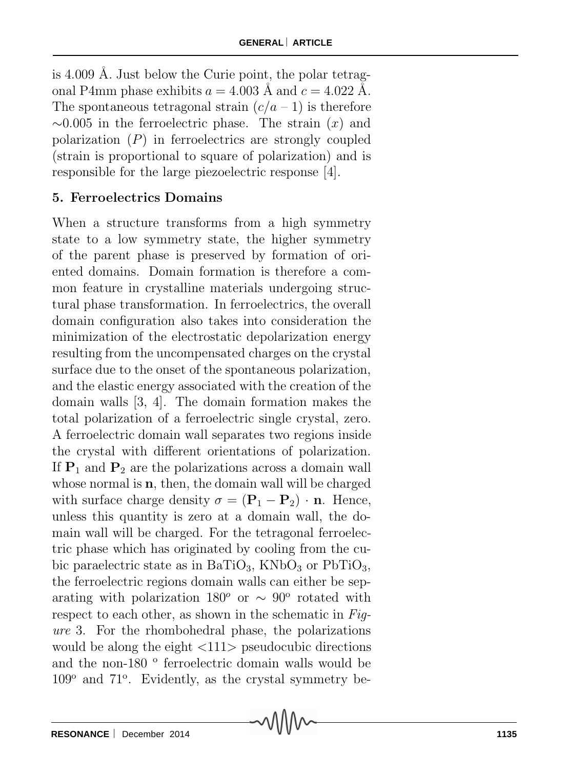is 4.009 Å. Just below the Curie point, the polar tetragonal P4mm phase exhibits  $a = 4.003$  Å and  $c = 4.022$  Å. The spontaneous tetragonal strain  $(c/a - 1)$  is therefore  $\sim$ 0.005 in the ferroelectric phase. The strain  $(x)$  and polarization  $(P)$  in ferroelectrics are strongly coupled (strain is proportional to square of polarization) and is responsible for the large piezoelectric response [4].

# **5. Ferroelectrics Domains**

When a structure transforms from a high symmetry state to a low symmetry state, the higher symmetry of the parent phase is preserved by formation of oriented domains. Domain formation is therefore a common feature in crystalline materials undergoing structural phase transformation. In ferroelectrics, the overall domain configuration also takes into consideration the minimization of the electrostatic depolarization energy resulting from the uncompensated charges on the crystal surface due to the onset of the spontaneous polarization, and the elastic energy associated with the creation of the domain walls [3, 4]. The domain formation makes the total polarization of a ferroelectric single crystal, zero. A ferroelectric domain wall separates two regions inside the crystal with different orientations of polarization. If  $P_1$  and  $P_2$  are the polarizations across a domain wall whose normal is **n**, then, the domain wall will be charged with surface charge density  $\sigma = (\mathbf{P}_1 - \mathbf{P}_2) \cdot \mathbf{n}$ . Hence, unless this quantity is zero at a domain wall, the domain wall will be charged. For the tetragonal ferroelectric phase which has originated by cooling from the cubic paraelectric state as in BaTiO<sub>3</sub>, KNbO<sub>3</sub> or PbTiO<sub>3</sub>, the ferroelectric regions domain walls can either be separating with polarization 180<sup>o</sup> or ∼ 90<sup>o</sup> rotated with respect to each other, as shown in the schematic in *Figure* 3. For the rhombohedral phase, the polarizations would be along the eight  $\langle 111 \rangle$  pseudocubic directions and the non-180  $\degree$  ferroelectric domain walls would be  $109^{\circ}$  and  $71^{\circ}$ . Evidently, as the crystal symmetry be-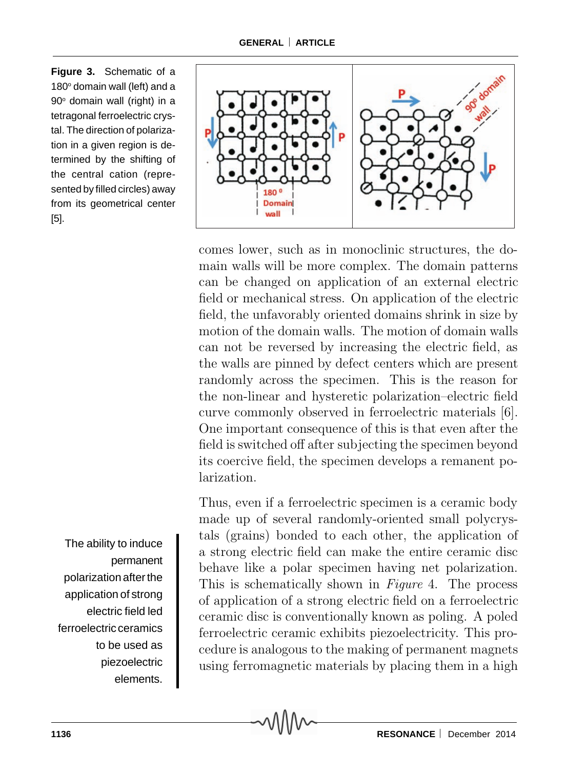**Figure 3.** Schematic of a 180° domain wall (left) and a 90º domain wall (right) in a tetragonal ferroelectric crystal. The direction of polarization in a given region is determined by the shifting of the central cation (represented by filled circles) away from its geometrical center [5].

The ability to induce permanent polarization after the application of strong electric field led ferroelectric ceramics to be used as piezoelectric elements.



comes lower, such as in monoclinic structures, the domain walls will be more complex. The domain patterns can be changed on application of an external electric field or mechanical stress. On application of the electric field, the unfavorably oriented domains shrink in size by motion of the domain walls. The motion of domain walls can not be reversed by increasing the electric field, as the walls are pinned by defect centers which are present randomly across the specimen. This is the reason for the non-linear and hysteretic polarization–electric field curve commonly observed in ferroelectric materials [6]. One important consequence of this is that even after the field is switched off after subjecting the specimen beyond its coercive field, the specimen develops a remanent polarization.

Thus, even if a ferroelectric specimen is a ceramic body made up of several randomly-oriented small polycrystals (grains) bonded to each other, the application of a strong electric field can make the entire ceramic disc behave like a polar specimen having net polarization. This is schematically shown in *Figure* 4. The process of application of a strong electric field on a ferroelectric ceramic disc is conventionally known as poling. A poled ferroelectric ceramic exhibits piezoelectricity. This procedure is analogous to the making of permanent magnets using ferromagnetic materials by placing them in a high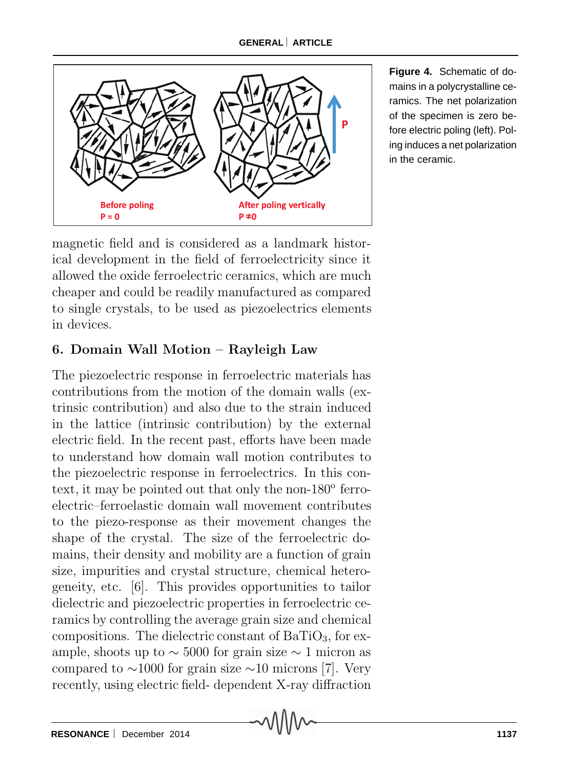#### **GENERAL** ⎜ **ARTICLE**



**Figure 4.** Schematic of domains in a polycrystalline ceramics. The net polarization of the specimen is zero before electric poling (left). Poling induces a net polarization in the ceramic.

magnetic field and is considered as a landmark historical development in the field of ferroelectricity since it allowed the oxide ferroelectric ceramics, which are much cheaper and could be readily manufactured as compared to single crystals, to be used as piezoelectrics elements in devices.

### **6. Domain Wall Motion – Rayleigh Law**

The piezoelectric response in ferroelectric materials has contributions from the motion of the domain walls (extrinsic contribution) and also due to the strain induced in the lattice (intrinsic contribution) by the external electric field. In the recent past, efforts have been made to understand how domain wall motion contributes to the piezoelectric response in ferroelectrics. In this context, it may be pointed out that only the non- $180^{\circ}$  ferroelectric–ferroelastic domain wall movement contributes to the piezo-response as their movement changes the shape of the crystal. The size of the ferroelectric domains, their density and mobility are a function of grain size, impurities and crystal structure, chemical heterogeneity, etc. [6]. This provides opportunities to tailor dielectric and piezoelectric properties in ferroelectric ceramics by controlling the average grain size and chemical compositions. The dielectric constant of  $BaTiO<sub>3</sub>$ , for example, shoots up to  $\sim$  5000 for grain size  $\sim$  1 micron as compared to  $\sim$ 1000 for grain size  $\sim$ 10 microns [7]. Very recently, using electric field- dependent X-ray diffraction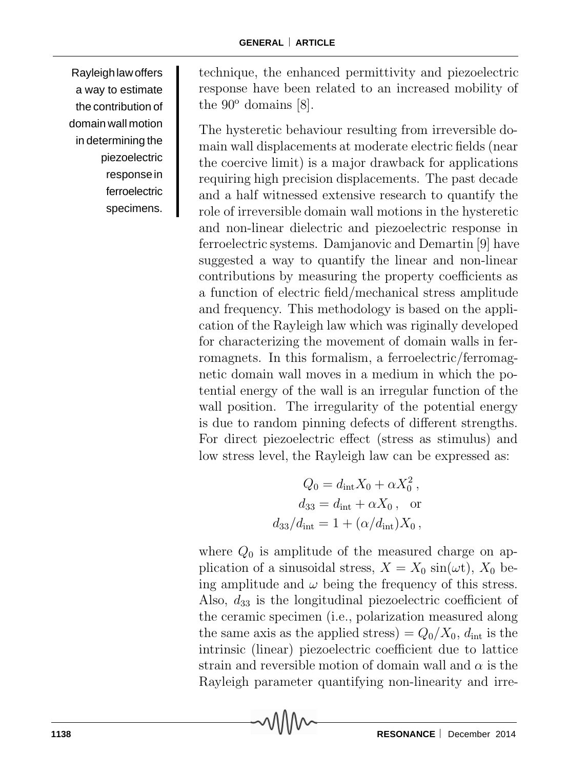Rayleigh law offers a way to estimate the contribution of domain wall motion in determining the piezoelectric response in ferroelectric specimens.

technique, the enhanced permittivity and piezoelectric response have been related to an increased mobility of the  $90^{\circ}$  domains [8].

The hysteretic behaviour resulting from irreversible domain wall displacements at moderate electric fields (near the coercive limit) is a major drawback for applications requiring high precision displacements. The past decade and a half witnessed extensive research to quantify the role of irreversible domain wall motions in the hysteretic and non-linear dielectric and piezoelectric response in ferroelectric systems. Damjanovic and Demartin [9] have suggested a way to quantify the linear and non-linear contributions by measuring the property coefficients as a function of electric field/mechanical stress amplitude and frequency. This methodology is based on the application of the Rayleigh law which was riginally developed for characterizing the movement of domain walls in ferromagnets. In this formalism, a ferroelectric/ferromagnetic domain wall moves in a medium in which the potential energy of the wall is an irregular function of the wall position. The irregularity of the potential energy is due to random pinning defects of different strengths. For direct piezoelectric effect (stress as stimulus) and low stress level, the Rayleigh law can be expressed as:

$$
Q_0 = d_{\rm int} X_0 + \alpha X_0^2,
$$
  
\n
$$
d_{33} = d_{\rm int} + \alpha X_0,
$$
 or  
\n
$$
d_{33}/d_{\rm int} = 1 + (\alpha/d_{\rm int})X_0,
$$

where  $Q_0$  is amplitude of the measured charge on application of a sinusoidal stress,  $X = X_0 \sin(\omega t)$ ,  $X_0$  being amplitude and  $\omega$  being the frequency of this stress. Also,  $d_{33}$  is the longitudinal piezoelectric coefficient of the ceramic specimen (i.e., polarization measured along the same axis as the applied stress) =  $Q_0/X_0$ ,  $d_{\text{int}}$  is the intrinsic (linear) piezoelectric coefficient due to lattice strain and reversible motion of domain wall and  $\alpha$  is the Rayleigh parameter quantifying non-linearity and irre-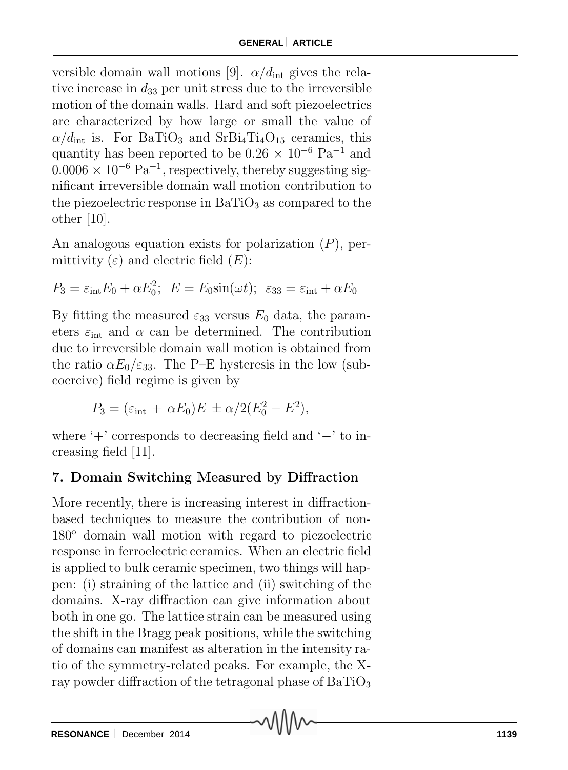versible domain wall motions [9].  $\alpha/d_{\text{int}}$  gives the relative increase in  $d_{33}$  per unit stress due to the irreversible motion of the domain walls. Hard and soft piezoelectrics are characterized by how large or small the value of  $\alpha/d_{\rm int}$  is. For BaTiO<sub>3</sub> and SrBi<sub>4</sub>Ti<sub>4</sub>O<sub>15</sub> ceramics, this quantity has been reported to be 0.26 <sup>×</sup> <sup>10</sup>*−*<sup>6</sup> Pa*−*<sup>1</sup> and  $0.0006 \times 10^{-6}$  Pa<sup>-1</sup>, respectively, thereby suggesting significant irreversible domain wall motion contribution to the piezoelectric response in  $BaTiO<sub>3</sub>$  as compared to the other  $|10|$ .

An analogous equation exists for polarization  $(P)$ , permittivity  $(\varepsilon)$  and electric field  $(E)$ :

$$
P_3 = \varepsilon_{\rm int} E_0 + \alpha E_0^2; \ \ E = E_0 \sin(\omega t); \ \varepsilon_{33} = \varepsilon_{\rm int} + \alpha E_0
$$

By fitting the measured  $\varepsilon_{33}$  versus  $E_0$  data, the parameters  $\varepsilon_{\text{int}}$  and  $\alpha$  can be determined. The contribution due to irreversible domain wall motion is obtained from the ratio  $\alpha E_0/\varepsilon_{33}$ . The P–E hysteresis in the low (subcoercive) field regime is given by

$$
P_3 = (\varepsilon_{\rm int} + \alpha E_0)E \pm \alpha/2(E_0^2 - E^2),
$$

where '+' corresponds to decreasing field and '−' to increasing field [11].

# **7. Domain Switching Measured by Diffraction**

More recently, there is increasing interest in diffractionbased techniques to measure the contribution of non- $180^{\circ}$  domain wall motion with regard to piezoelectric response in ferroelectric ceramics. When an electric field is applied to bulk ceramic specimen, two things will happen: (i) straining of the lattice and (ii) switching of the domains. X-ray diffraction can give information about both in one go. The lattice strain can be measured using the shift in the Bragg peak positions, while the switching of domains can manifest as alteration in the intensity ratio of the symmetry-related peaks. For example, the Xray powder diffraction of the tetragonal phase of  $BaTiO<sub>3</sub>$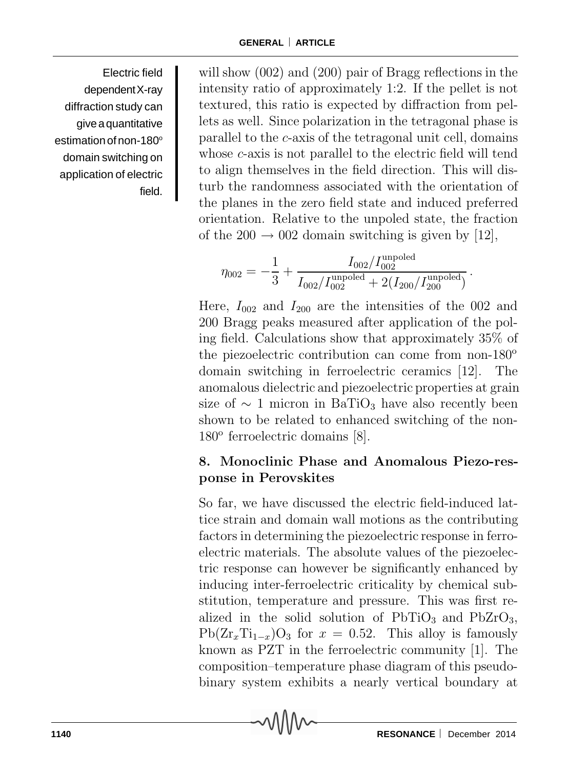Electric field dependent X-ray diffraction study can give a quantitative estimation of non-180° domain switching on application of electric field.

will show (002) and (200) pair of Bragg reflections in the intensity ratio of approximately 1:2. If the pellet is not textured, this ratio is expected by diffraction from pellets as well. Since polarization in the tetragonal phase is parallel to the c-axis of the tetragonal unit cell, domains whose *c*-axis is not parallel to the electric field will tend to align themselves in the field direction. This will disturb the randomness associated with the orientation of the planes in the zero field state and induced preferred orientation. Relative to the unpoled state, the fraction of the  $200 \rightarrow 002$  domain switching is given by [12].

$$
\eta_{002} = -\frac{1}{3} + \frac{I_{002}/I_{002}^{\text{unpoled}}}{I_{002}/I_{002}^{\text{unpoled}} + 2(I_{200}/I_{200}^{\text{unpoled}})}.
$$

Here,  $I_{002}$  and  $I_{200}$  are the intensities of the 002 and 200 Bragg peaks measured after application of the poling field. Calculations show that approximately 35% of the piezoelectric contribution can come from non- $180^{\circ}$ domain switching in ferroelectric ceramics [12]. The anomalous dielectric and piezoelectric properties at grain size of  $\sim 1$  micron in BaTiO<sub>3</sub> have also recently been shown to be related to enhanced switching of the non- $180^\circ$  ferroelectric domains [8].

# **8. Monoclinic Phase and Anomalous Piezo-response in Perovskites**

So far, we have discussed the electric field-induced lattice strain and domain wall motions as the contributing factors in determining the piezoelectric response in ferroelectric materials. The absolute values of the piezoelectric response can however be significantly enhanced by inducing inter-ferroelectric criticality by chemical substitution, temperature and pressure. This was first realized in the solid solution of  $PbTiO<sub>3</sub>$  and  $PbZrO<sub>3</sub>$ ,  $Pb(Zr_xTi_{1-x})O_3$  for  $x = 0.52$ . This alloy is famously known as PZT in the ferroelectric community [1]. The composition–temperature phase diagram of this pseudobinary system exhibits a nearly vertical boundary at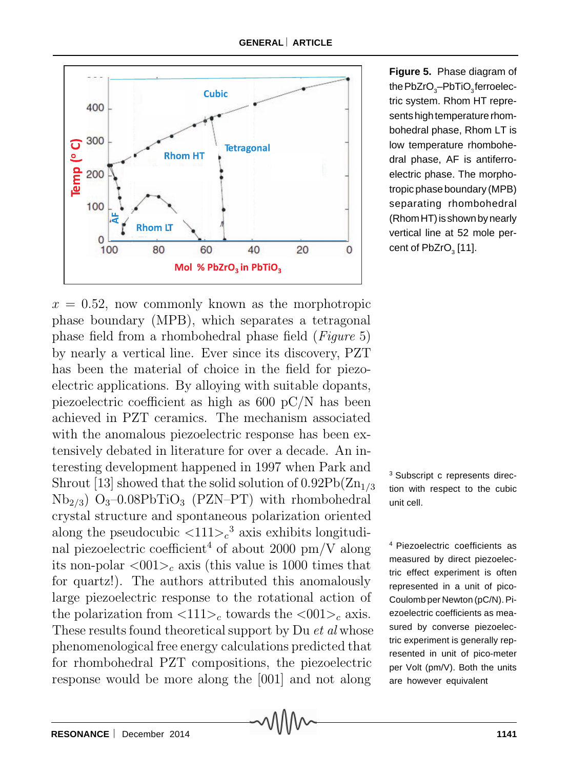

 $x = 0.52$ , now commonly known as the morphotropic phase boundary (MPB), which separates a tetragonal phase field from a rhombohedral phase field (*Figure* 5) by nearly a vertical line. Ever since its discovery, PZT has been the material of choice in the field for piezoelectric applications. By alloying with suitable dopants, piezoelectric coefficient as high as 600 pC/N has been achieved in PZT ceramics. The mechanism associated with the anomalous piezoelectric response has been extensively debated in literature for over a decade. An interesting development happened in 1997 when Park and Shrout [13] showed that the solid solution of  $0.92Pb(Zn_{1/3})$  $Nb<sub>2/3</sub>$ )  $O<sub>3</sub>$ –0.08PbTiO<sub>3</sub> (PZN–PT) with rhombohedral crystal structure and spontaneous polarization oriented along the pseudocubic  $\langle 111 \rangle_c^3$  axis exhibits longitudinal piezoelectric coefficient<sup>4</sup> of about 2000 pm/V along its non-polar  $\langle 001 \rangle_c$  axis (this value is 1000 times that for quartz!). The authors attributed this anomalously large piezoelectric response to the rotational action of the polarization from  $\langle 111 \rangle_c$  towards the  $\langle 001 \rangle_c$  axis. These results found theoretical support by Du *et al* whose phenomenological free energy calculations predicted that for rhombohedral PZT compositions, the piezoelectric response would be more along the [001] and not along

**Figure 5.** Phase diagram of the  ${\sf PbZrO}_3{\sf -PbTiO}_3$ ferroelectric system. Rhom HT represents high temperature rhombohedral phase, Rhom LT is low temperature rhombohedral phase, AF is antiferroelectric phase. The morphotropic phase boundary (MPB) separating rhombohedral (Rhom HT) is shown by nearly vertical line at 52 mole percent of  $\mathsf{PbZrO}_{_{3}}[11].$ 

<sup>3</sup> Subscript c represents direction with respect to the cubic unit cell.

4 Piezoelectric coefficients as measured by direct piezoelectric effect experiment is often represented in a unit of pico-Coulomb per Newton (pC/N). Piezoelectric coefficients as measured by converse piezoelectric experiment is generally represented in unit of pico-meter per Volt (pm/V). Both the units are however equivalent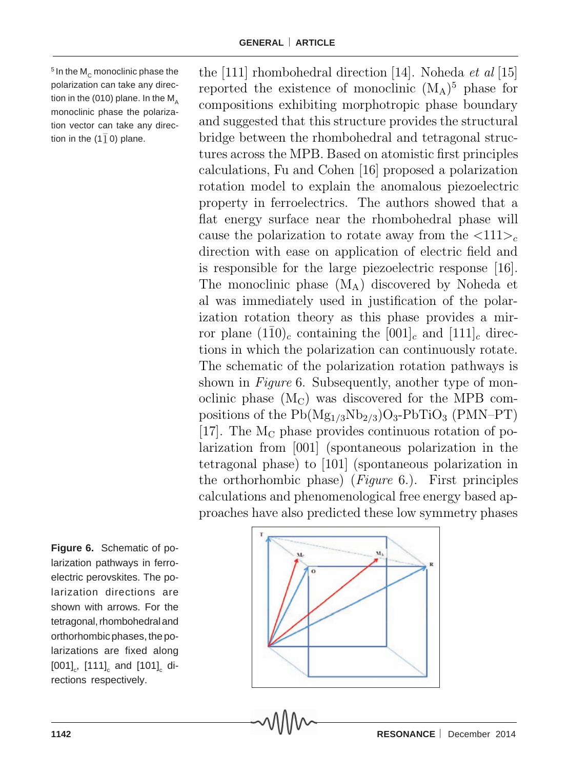$5$  In the M<sub>c</sub> monoclinic phase the polarization can take any direction in the (010) plane. In the  $M_{\text{A}}$ monoclinic phase the polarization vector can take any direction in the (1 $\overline{1}$ 0) plane.

compositions exhibiting morphotropic phase boundary and suggested that this structure provides the structural bridge between the rhombohedral and tetragonal structures across the MPB. Based on atomistic first principles calculations, Fu and Cohen [16] proposed a polarization rotation model to explain the anomalous piezoelectric property in ferroelectrics. The authors showed that a flat energy surface near the rhombohedral phase will cause the polarization to rotate away from the  $\langle 111 \rangle_c$ direction with ease on application of electric field and is responsible for the large piezoelectric response [16]. The monoclinic phase  $(M_A)$  discovered by Noheda et al was immediately used in justification of the polarization rotation theory as this phase provides a mirror plane  $(1\bar{1}0)_c$  containing the  $[001]_c$  and  $[111]_c$  directions in which the polarization can continuously rotate. The schematic of the polarization rotation pathways is shown in *Figure* 6. Subsequently, another type of monoclinic phase  $(M<sub>C</sub>)$  was discovered for the MPB compositions of the  $Pb(Mg_{1/3}Nb_{2/3})O_3-PbTiO_3$  (PMN–PT) [17]. The  $M<sub>C</sub>$  phase provides continuous rotation of polarization from [001] (spontaneous polarization in the tetragonal phase) to [101] (spontaneous polarization in the orthorhombic phase) (*Figure* 6.). First principles calculations and phenomenological free energy based approaches have also predicted these low symmetry phases

the [111] rhombohedral direction [14]. Noheda *et al* [15]<br>reported the existence of monoclinic  $(M_A)^5$  phase for

**Figure 6.** Schematic of polarization pathways in ferroelectric perovskites. The polarization directions are shown with arrows. For the tetragonal, rhombohedral and orthorhombic phases, the polarizations are fixed along [001] $_{\mathrm{c}}$ , [111] $_{\mathrm{c}}$  and [101] $_{\mathrm{c}}$  directions respectively.

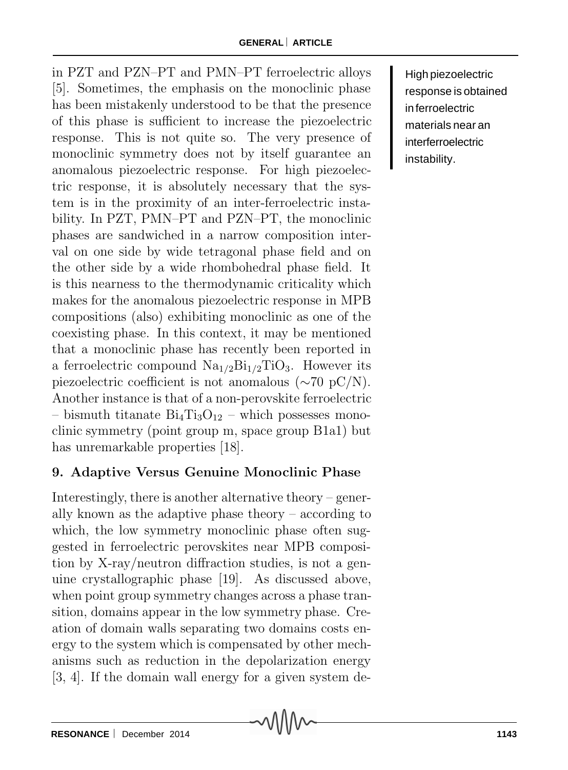in PZT and PZN–PT and PMN–PT ferroelectric alloys [5]. Sometimes, the emphasis on the monoclinic phase has been mistakenly understood to be that the presence of this phase is sufficient to increase the piezoelectric response. This is not quite so. The very presence of monoclinic symmetry does not by itself guarantee an anomalous piezoelectric response. For high piezoelectric response, it is absolutely necessary that the system is in the proximity of an inter-ferroelectric instability. In PZT, PMN–PT and PZN–PT, the monoclinic phases are sandwiched in a narrow composition interval on one side by wide tetragonal phase field and on the other side by a wide rhombohedral phase field. It is this nearness to the thermodynamic criticality which makes for the anomalous piezoelectric response in MPB compositions (also) exhibiting monoclinic as one of the coexisting phase. In this context, it may be mentioned that a monoclinic phase has recently been reported in a ferroelectric compound  $\text{Na}_{1/2}\text{Bi}_{1/2}\text{TiO}_3$ . However its piezoelectric coefficient is not anomalous (∼70 pC/N). Another instance is that of a non-perovskite ferroelectric – bismuth titanate  $Bi_4Ti_3O_{12}$  – which possesses monoclinic symmetry (point group m, space group B1a1) but has unremarkable properties [18].

# **9. Adaptive Versus Genuine Monoclinic Phase**

Interestingly, there is another alternative theory – generally known as the adaptive phase theory – according to which, the low symmetry monoclinic phase often suggested in ferroelectric perovskites near MPB composition by X-ray/neutron diffraction studies, is not a genuine crystallographic phase [19]. As discussed above, when point group symmetry changes across a phase transition, domains appear in the low symmetry phase. Creation of domain walls separating two domains costs energy to the system which is compensated by other mechanisms such as reduction in the depolarization energy [3, 4]. If the domain wall energy for a given system de-

High piezoelectric response is obtained in ferroelectric materials near an interferroelectric instability.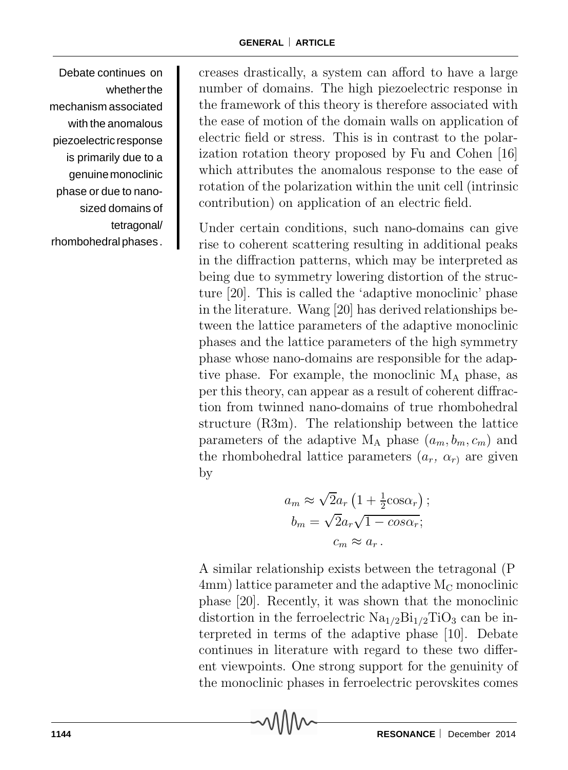Debate continues on whether the mechanism associated with the anomalous piezoelectric response is primarily due to a genuine monoclinic phase or due to nanosized domains of tetragonal/ rhombohedral phases .

creases drastically, a system can afford to have a large number of domains. The high piezoelectric response in the framework of this theory is therefore associated with the ease of motion of the domain walls on application of electric field or stress. This is in contrast to the polarization rotation theory proposed by Fu and Cohen [16] which attributes the anomalous response to the ease of rotation of the polarization within the unit cell (intrinsic contribution) on application of an electric field.

Under certain conditions, such nano-domains can give rise to coherent scattering resulting in additional peaks in the diffraction patterns, which may be interpreted as being due to symmetry lowering distortion of the structure [20]. This is called the 'adaptive monoclinic' phase in the literature. Wang [20] has derived relationships between the lattice parameters of the adaptive monoclinic phases and the lattice parameters of the high symmetry phase whose nano-domains are responsible for the adaptive phase. For example, the monoclinic  $M_A$  phase, as per this theory, can appear as a result of coherent diffraction from twinned nano-domains of true rhombohedral structure (R3m). The relationship between the lattice parameters of the adaptive  $M_A$  phase  $(a_m, b_m, c_m)$  and the rhombohedral lattice parameters  $(a_r, \alpha_r)$  are given by

$$
a_m \approx \sqrt{2}a_r \left(1 + \frac{1}{2}\cos\alpha_r\right);
$$
  
\n
$$
b_m = \sqrt{2}a_r\sqrt{1 - \cos\alpha_r};
$$
  
\n
$$
c_m \approx a_r.
$$

A similar relationship exists between the tetragonal (P  $4mm$ ) lattice parameter and the adaptive  $M<sub>C</sub>$  monoclinic phase [20]. Recently, it was shown that the monoclinic distortion in the ferroelectric  $Na<sub>1/2</sub>Bi<sub>1/2</sub>TiO<sub>3</sub>$  can be interpreted in terms of the adaptive phase [10]. Debate continues in literature with regard to these two different viewpoints. One strong support for the genuinity of the monoclinic phases in ferroelectric perovskites comes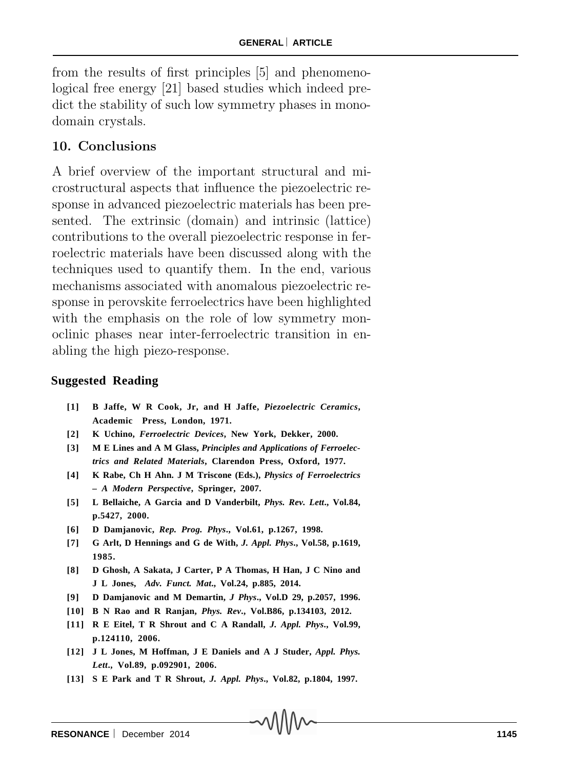from the results of first principles [5] and phenomenological free energy [21] based studies which indeed predict the stability of such low symmetry phases in monodomain crystals.

### **10. Conclusions**

A brief overview of the important structural and microstructural aspects that influence the piezoelectric response in advanced piezoelectric materials has been presented. The extrinsic (domain) and intrinsic (lattice) contributions to the overall piezoelectric response in ferroelectric materials have been discussed along with the techniques used to quantify them. In the end, various mechanisms associated with anomalous piezoelectric response in perovskite ferroelectrics have been highlighted with the emphasis on the role of low symmetry monoclinic phases near inter-ferroelectric transition in enabling the high piezo-response.

#### **Suggested Reading**

- **[1] B Jaffe, W R Cook, Jr, and H Jaffe,** *Piezoelectric Ceramics***, Academic Press, London, 1971.**
- **[2] K Uchino,** *Ferroelectric Devices***, New York, Dekker, 2000.**
- **[3] M E Lines and A M Glass,** *Principles and Applications of Ferroelectrics and Related Materials***, Clarendon Press, Oxford, 1977.**
- **[4] K Rabe, Ch H Ahn. J M Triscone (Eds.),** *Physics of Ferroelectrics – A Modern Perspective***, Springer, 2007.**
- **[5] L Bellaiche, A Garcia and D Vanderbilt,** *Phys. Rev. Lett***., Vol.84, p.5427, 2000.**
- **[6] D Damjanovic,** *Rep. Prog. Phys***., Vol.61, p.1267, 1998.**
- **[7] G Arlt, D Hennings and G de With,** *J. Appl. Phys***., Vol.58, p.1619, 1985.**
- **[8] D Ghosh, A Sakata, J Carter, P A Thomas, H Han, J C Nino and J L Jones,** *Adv. Funct. Mat***., Vol.24, p.885, 2014.**
- **[9] D Damjanovic and M Demartin,** *J Phys***., Vol.D 29, p.2057, 1996.**
- **[10] B N Rao and R Ranjan,** *Phys. Rev***., Vol.B86, p.134103, 2012.**
- **[11] R E Eitel, T R Shrout and C A Randall,** *J. Appl. Phys***., Vol.99, p.124110, 2006.**
- **[12] J L Jones, M Hoffman, J E Daniels and A J Studer,** *Appl. Phys. Lett***., Vol.89, p.092901, 2006.**
- **[13] S E Park and T R Shrout,** *J. Appl. Phys***., Vol.82, p.1804, 1997.**